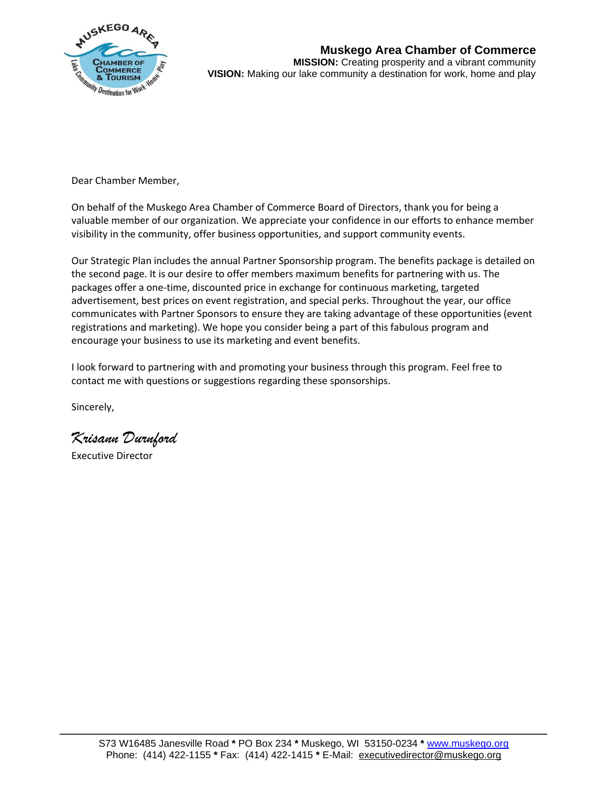

**Muskego Area Chamber of Commerce MISSION:** Creating prosperity and a vibrant community **VISION:** Making our lake community a destination for work, home and play

Dear Chamber Member,

On behalf of the Muskego Area Chamber of Commerce Board of Directors, thank you for being a valuable member of our organization. We appreciate your confidence in our efforts to enhance member visibility in the community, offer business opportunities, and support community events.

Our Strategic Plan includes the annual Partner Sponsorship program. The benefits package is detailed on the second page. It is our desire to offer members maximum benefits for partnering with us. The packages offer a one-time, discounted price in exchange for continuous marketing, targeted advertisement, best prices on event registration, and special perks. Throughout the year, our office communicates with Partner Sponsors to ensure they are taking advantage of these opportunities (event registrations and marketing). We hope you consider being a part of this fabulous program and encourage your business to use its marketing and event benefits.

I look forward to partnering with and promoting your business through this program. Feel free to contact me with questions or suggestions regarding these sponsorships.

Sincerely,

*Krisann Durnford*

Executive Director